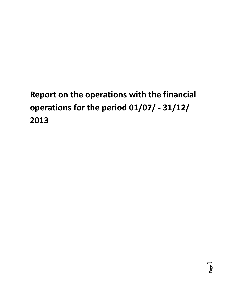# **Report on the operations with the financial operations for the period 01/07/ - 31/12/ 2013**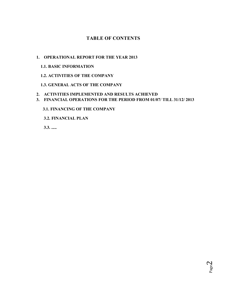# **TABLE OF CONTENTS**

## **1. OPERATIONAL REPORT FOR THE YEAR 2013**

## **1.1. BASIC INFORMATION**

## **1.2. ACTIVITIES OF THE COMPANY**

## **1.3. GENERAL ACTS OF THE COMPANY**

## **2. ACTIVITIES IMPLEMENTED AND RESULTS ACHIEVED**

**3. FINANCIAL OPERATIONS FOR THE PERIOD FROM 01/07/ TILL 31/12/ 2013** 

## **3.1. FINANCING OF THE COMPANY**

 **3.2. FINANCIAL PLAN**

 **3.3. .....**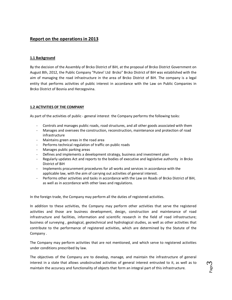## **Report on the operations in 2013**

#### **1.1 Background**

By the decision of the Assembly of Brcko District of BiH, at the proposal of Brcko District Government on August 8th, 2012, the Public Company "Putevi' Ltd Brcko" Brcko District of BiH was established with the aim of managing the road infrastructure in the area of Brcko District of BiH. The company is a legal entity that performs activities of public interest in accordance with the Law on Public Companies in Brcko District of Bosnia and Herzegovina.

#### **1.2 ACTIVITIES OF THE COMPANY**

As part of the activities of public - general interest the Company performs the following tasks:

- Controls and manages public roads, road structures, and all other goods associated with them
- Manages and oversees the construction, reconstruction, maintenance and protection of road infrastructure
- Maintains green areas in the road area
- Performs technical regulation of traffic on public roads
- Manages public parking areas
- Defines and implements a development strategy, business and investment plan
- Regularly updates Act and reports to the bodies of executive and legislative authority in Brcko District of BiH
- Implements procurement procedures for all works and services in accordance with the applicable law, with the aim of carrying out activities of general interest.
- Performs other activities and tasks in accordance with the Law on Roads of Brcko District of BiH, as well as in accordance with other laws and regulations.

In the foreign trade, the Company may perform all the duties of registered activities.

In addition to these activities, the Company may perform other activities that serve the registered activities and those are business development, design, construction and maintenance of road infrastructure and facilities, information and scientific research in the field of road infrastructure; business of surveying , geological, geotechnical and hydrological studies, as well as other activities that contribute to the performance of registered activities, which are determined by the Statute of the Company .

The Company may perform activities that are not mentioned, and which serve to registered activities under conditions prescribed by law.

The objectives of the Company are to develop, manage, and maintain the infrastructure of general interest in a state that allows unobstructed activities of general interest entrusted to it, as well as to maintain the accuracy and functionality of objects that form an integral part of this infrastructure.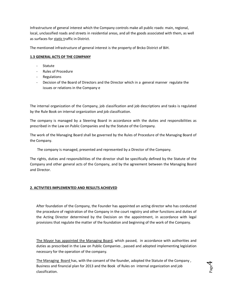Infrastructure of general interest which the Company controls make all public roads: main, regional, local, unclassified roads and streets in residential areas, and all the goods associated with them, as well as surfaces for static traffic in District.

The mentioned infrastructure of general interest is the property of Brcko District of BiH.

#### **1.3 GENERAL ACTS OF THE COMPANY**

- **Statute**
- Rules of Procedure
- Regulations
- Decision of the Board of Directors and the Director which in a general manner regulate the issues or relations in the Company e

The internal organization of the Company, job classification and job descriptions and tasks is regulated by the Rule Book on internal organization and job classification.

The company is managed by a Steering Board in accordance with the duties and responsibilities as prescribed in the Law on Public Companies and by the Statute of the Company.

The work of the Managing Board shall be governed by the Rules of Procedure of the Managing Board of the Company.

The company is managed, presented and represented by a Director of the Company.

The rights, duties and responsibilities of the director shall be specifically defined by the Statute of the Company and other general acts of the Company, and by the agreement between the Managing Board and Director.

#### **2. ACTIVITIES IMPLEMENTED AND RESULTS ACHIEVED**

After foundation of the Company, the Founder has appointed an acting director who has conducted the procedure of registration of the Company in the court registry and other functions and duties of the Acting Director determined by the Decision on the appointment, in accordance with legal provisions that regulate the matter of the foundation and beginning of the work of the Company.

The Mayor has appointed the Managing Board, which passed, in accordance with authorities and duties as prescribed in the Law on Public Companies , passed and adopted implementing legislation necessary for the operation of the company.

The Managing Board has, with the consent of the founder, adopted the Statute of the Company, Business and financial plan for 2013 and the Book of Rules on internal organization and job classification.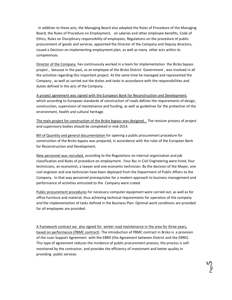In addition to these acts, the Managing Board also adopted the Rules of Procedure of the Managing Board, the Rules of Procedure on Employment, on salaries and other employee benefits, Code of Ethics, Rules on Disciplinary responsibility of employees, Regulations on the procedure of public procurement of goods and services, appointed the Director of the Company and Deputy directors, issued a Decision on implementing employment plan, as well as many other acts within its competences.

Director of the Company has continuously worked in a team for implementation the Brcko bypass project , because in the past, as an employee of the Brcko District Government , was involved in all the activities regarding this important project. At the same time he managed and represented the Company , as well as carried out the duties and tasks in accordance with the responsibilities and duties defined in the acts of the Company .

A project agreement was signed with the European Bank for Reconstruction and Development, which according to European standards of construction of roads defines the requirements of design, construction, supervision of maintenance and funding, as well as guidelines for the protection of the environment, health and cultural heritage.

The main project for construction of the Brcko bypass was designed . The revision process of project and supervisory bodies should be completed in mid-2014.

Bill of Quantity and general documentation for opening a public procurement procedure for construction of the Brcko bypass was prepared, in accordance with the rules of the European Bank for Reconstruction and Development.

New personnel was recruited, according to the Regulations on internal organization and job classification and Rules of procedure on employment. Four Bsc in Civil Engineering were hired, four technicians, an economist, a lawyer and one economic technician. By the decision of the Mayor, one civil engineer and one technician have been deployed from the Department of Public Affairs to the Company. In that way personnel prerequisites for a modern approach to business management and performance of activities entrusted to the Company were crated.

Public procurement procedures for necessary computer equipment were carried out, as well as for office furniture and material, thus achieving technical requirements for operation of the company and the implementation of tasks defined in the Business Plan. Optimal work conditions are provided for all employees are provided.

A framework contract wa also signed for winter road maintenance in the area for three years, based on performance (PBMC contract). The introduction of PBMC contract in Brcko is a provision of the Loan Support Agreement with the EBRD (the Agreement between District and the EBRD). This type of agreement reduces the incidence of public procurement process; the process is selfmonitored by the contractor, and provides the efficiency of investment and better quality in providing public services.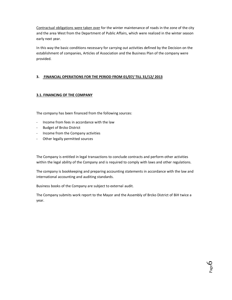Contractual obligations were taken over for the winter maintenance of roads in the zone of the city and the area West from the Department of Public Affairs, which were realized in the winter season early next year.

In this way the basic conditions necessary for carrying out activities defined by the Decision on the establishment of companies, Articles of Association and the Business Plan of the company were provided.

### **3. FINANCIAL OPERATIONS FOR THE PERIOD FROM 01/07/ TILL 31/12/ 2013**

#### **3.1. FINANCING OF THE COMPANY**

The company has been financed from the following sources:

- Income from fees in accordance with the law
- Budget of Brcko District
- Income from the Company activities
- Other legally permitted sources

The Company is entitled in legal transactions to conclude contracts and perform other activities within the legal ability of the Company and is required to comply with laws and other regulations.

The company is bookkeeping and preparing accounting statements in accordance with the law and international accounting and auditing standards.

Business books of the Company are subject to external audit.

The Company submits work report to the Mayor and the Assembly of Brcko District of BiH twice a year.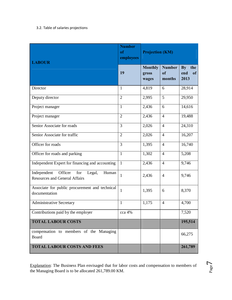## 3.2. Table of salaries projections

| <b>LABOUR</b>                                                                         | <b>Number</b><br>of<br>employees |                                  | <b>Projection (KM)</b>        |                             |  |  |
|---------------------------------------------------------------------------------------|----------------------------------|----------------------------------|-------------------------------|-----------------------------|--|--|
|                                                                                       | 19                               | <b>Monthly</b><br>gross<br>wages | <b>Number</b><br>of<br>months | By the<br>end<br>of<br>2013 |  |  |
| Director                                                                              | $\mathbf{1}$                     | 4,819                            | 6                             | 28,914                      |  |  |
| Deputy director                                                                       | $\overline{2}$                   | 2,995                            | 5                             | 29,950                      |  |  |
| Project manager                                                                       | $\mathbf{1}$                     | 2,436                            | 6                             | 14,616                      |  |  |
| Project manager                                                                       | $\overline{2}$                   | 2,436                            | $\overline{4}$                | 19,488                      |  |  |
| Senior Associate for roads                                                            | 3                                | 2,026                            | $\overline{4}$                | $\overline{24,310}$         |  |  |
| Senior Associate for traffic                                                          | $\overline{2}$                   | 2,026                            | $\overline{4}$                | 16,207                      |  |  |
| Officer for roads                                                                     | 3                                | 1,395                            | $\overline{4}$                | 16,740                      |  |  |
| Officer for roads and parking                                                         | $\mathbf{1}$                     | 1,302                            | $\overline{4}$                | 5,208                       |  |  |
| Independent Expert for financing and accounting                                       | $\mathbf{1}$                     | 2,436                            | $\overline{4}$                | 9,746                       |  |  |
| Independent<br>Officer<br>for Legal,<br>Human<br><b>Resources and General Affairs</b> | 1                                | 2,436                            | $\overline{4}$                | 9,746                       |  |  |
| Associate for public procurement and technical<br>documentation                       | $\mathbf{1}$                     | 1,395                            | 6                             | 8,370                       |  |  |
| <b>Administrative Secretary</b>                                                       | 1                                | 1,175                            | $\overline{4}$                | 4,700                       |  |  |
| Contributions paid by the employer                                                    | cca 4%                           |                                  |                               | 7,520                       |  |  |
| <b>TOTAL LABOUR COSTS</b>                                                             |                                  |                                  |                               | 195,514                     |  |  |
| compensation to members of the Managing<br>Board                                      |                                  |                                  |                               | 66,275                      |  |  |
| <b>TOTAL LABOUR COSTS AND FEES</b>                                                    |                                  |                                  |                               | 261,789                     |  |  |

Explanation: The Business Plan envisaged that for labor costs and compensation to members of the Managing Board is to be allocated 261,789.00 KM.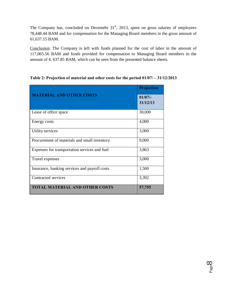The Company has, concluded on Decemebr  $31<sup>st</sup>$ , 2013, spent on gross salaries of employees 78,448.44 BAM and for compensation for the Managing Board members in the gross amount of 61,637.15 BAM.

Conclusion: The Company is left with funds planned for the cost of labor in the amount of 117,065.56 BAM and funds provided for compensation to Managing Board members in the amount of 4. 637.85 BAM, which can be seen from the presented balance sheets.

|                                               | Projection         |
|-----------------------------------------------|--------------------|
| <b>MATERIAL AND OTHER COSTS</b>               | 01/07/<br>31/12/13 |
| Lease of office space                         | 30,000             |
| Energy costs                                  | 4,000              |
| Utility services                              | 3,000              |
| Procurement of materials and small inventory  | 9,000              |
| Expenses for transportation services and fuel | 3,863              |
| Travel expenses                               | 3,000              |
| Insurance, banking services and payroll costs | 1,500              |
| Contracted services                           | 3,392              |
| <b>TOTAL MATERIAL AND OTHER COSTS</b>         | 57,755             |

**Table 2: Projection of material and other costs for the period 01/07/ – 31/12/2013**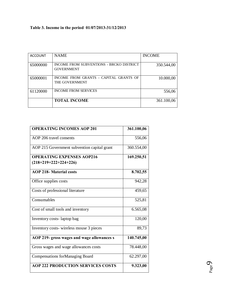# **Table 3. Income in the period 01/07/2013-31/12/2013**

| <b>ACCOUNT</b> | <b>NAME</b>                                                     | <b>INCOME</b> |
|----------------|-----------------------------------------------------------------|---------------|
| 65000000       | INCOME FROM SUBVENTIONS - BRCKO DISTRICT<br><b>GOVERNMENT</b>   | 350.544,00    |
| 65000001       | INCOME FROM GRANTS - CAPITAL GRANTS OF<br><b>THE GOVERNMENT</b> | 10.000,00     |
| 61120000       | <b>INCOME FROM SERVICES</b>                                     | 556,06        |
|                | <b>TOTAL INCOME</b>                                             | 361.100,06    |

| <b>OPERATING INCOMES AOP 201</b>                            | 361.100,06 |
|-------------------------------------------------------------|------------|
| AOP 206 travel consents                                     | 556,06     |
| AOP 215 Government subvention capital grant                 | 360.554,00 |
| <b>OPERATING EXPENSES AOP216</b><br>$(218+219+222+224+226)$ | 169.250,51 |
| <b>AOP 218- Material costs</b>                              | 8.702,55   |
| Office supplies costs                                       | 942,28     |
| Costs of professional literature                            | 459,65     |
| Consumables                                                 | 525,81     |
| Cost of small tools and inventory                           | 6.565,08   |
| Inventory costs-laptop bag                                  | 120,00     |
| Inventory costs-wireless mouse 3 pieces                     | 89,73      |
| AOP 219- gross wages and wage allowances s                  | 140.745,00 |
| Gross wages and wage allowances costs                       | 78.448,00  |
| <b>Compensations for Managing Board</b>                     | 62.297,00  |
| <b>AOP 222 PRODUCTION SERVICES COSTS</b>                    | 9.323,00   |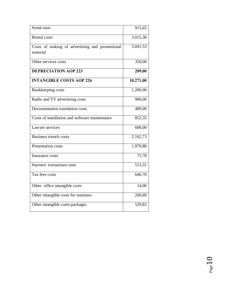| Postal costs                                               | 915,65    |
|------------------------------------------------------------|-----------|
| <b>Rental</b> costs                                        | 3.015,38  |
| Costs of making of advertising and promotional<br>material | 5.041,53  |
| Other services costs                                       | 350,00    |
| <b>DEPRECIATION AOP 223</b>                                | 209,00    |
| <b>INTANGIBLE COSTS AOP 226</b>                            | 10.271,00 |
| Bookkeeping costs                                          | 1.200,00  |
| Radio and TV advertising costs                             | 900,00    |
| Documentation translation costs                            | 489,00    |
| Costs of installation and software maintenance             | 852,35    |
| Lawyer services                                            | 600,00    |
| <b>Business travels costs</b>                              | 2.162,73  |
| Presentation costs                                         | 1.979,80  |
| Insurance costs                                            | 75,78     |
| Payment transactions costs                                 | 513,31    |
| Tax fees costs                                             | 646,70    |
| Other office intangible costs                              | 14,00     |
| Other intangible costs for seminars                        | 260,69    |
| Other intangible costs-packages                            | 529,83    |

 $_{\rm Page}10$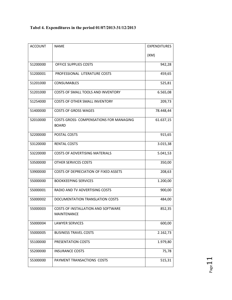| <b>ACCOUNT</b> | <b>NAME</b>                                              | <b>EXPENDITURES</b> |
|----------------|----------------------------------------------------------|---------------------|
|                |                                                          | (KM)                |
| 51200000       | <b>OFFICE SUPPLIES COSTS</b>                             | 942,28              |
| 51200001       | PROFESSIONAL LITERATURE COSTS                            | 459,65              |
| 51201000       | <b>CONSUMABLES</b>                                       | 525,81              |
| 51201000       | COSTS OF SMALL TOOLS AND INVENTORY                       | 6.565,08            |
| 51254000       | <b>COSTS OF OTHER SMALL INVENTORY</b>                    | 209,73              |
| 51400000       | <b>COSTS OF GROSS WAGES</b>                              | 78.448,44           |
| 52010000       | COSTS GROSS- COMPENSATIONS FOR MANAGING<br><b>BOARD</b>  | 61.637,15           |
| 52200000       | POSTAL COSTS                                             | 915,65              |
| 53120000       | <b>RENTAL COSTS</b>                                      | 3.015,38            |
| 53220000       | <b>COSTS OF ADVERTISING MATERIALS</b>                    | 5.041,53            |
| 53500000       | OTHER SERVICES COSTS                                     | 350,00              |
| 53900000       | COSTS OF DEPRECIATION OF FIXED ASSETS                    | 208,63              |
| 55000000       | <b>BOOKKEEPING SERVICES</b>                              | 1.200,00            |
| 55000001       | RADIO AND TV ADVERTISING COSTS                           | 900,00              |
| 55000002       | DOCUMENTATION TRANSLATION COSTS                          | 484,00              |
| 55000003       | COSTS OF INSTALLATION AND SOFTWARE<br><b>MAINTENANCE</b> | 852,35              |
| 55000004       | <b>LAWYER SERVICES</b>                                   | 600,00              |
| 55000005       | <b>BUSINESS TRAVEL COSTS</b>                             | 2.162,73            |
| 55100000       | PRESENTATION COSTS                                       | 1.979,80            |
| 55200000       | <b>INSURANCE COSTS</b>                                   | 75,78               |
| 55300000       | PAYMENT TRANSACTIONS COSTS                               | 515,31              |

# **Tabel 4. Expenditures in the period 01/07/2013-31/12/2013**

 $Page11$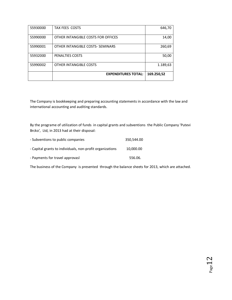|          | <b>EXPENDITURES TOTAL:</b>         | 169.250,52 |
|----------|------------------------------------|------------|
| 55990002 | OTHER INTANGIBLE COSTS             | 1.189,63   |
| 55932000 | PENALTIES COSTS                    | 50,00      |
| 55990001 | OTHER INTANGIBLE COSTS- SEMINARS   | 260,69     |
| 55990000 | OTHER INTANGIBLE COSTS FOR OFFICES | 14,00      |
| 55930000 | <b>TAX FEES COSTS</b>              | 646,70     |

The Company is bookkeeping and preparing accounting statements in accordance with the law and international accounting and auditing standards.

By the programe of utilization of funds in capital grants and subventions the Public Company 'Putevi Brcko', Ltd, in 2013 had at their disposal:

| - Subventions to public companies                         | 350.544.00 |
|-----------------------------------------------------------|------------|
| - Capital grants to individuals, non-profit organizations | 10,000.00  |
| - Payments for travel approvasl                           | 556.06.    |

The business of the Company is presented through the balance sheets for 2013, which are attached.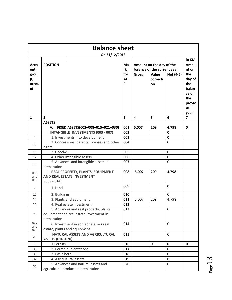|                           | <b>Balance sheet</b>                                                                             |                |                                                         |                         |              |                                                                              |
|---------------------------|--------------------------------------------------------------------------------------------------|----------------|---------------------------------------------------------|-------------------------|--------------|------------------------------------------------------------------------------|
|                           | On 31/12/2013                                                                                    |                |                                                         |                         |              |                                                                              |
| Acco<br>unt               | <b>POSITION</b>                                                                                  | Ma<br>rk       | Amount on the day of the<br>balance of the current year |                         |              | in KM<br>Amou<br>nt on                                                       |
| grou<br>р,<br>accou<br>nt |                                                                                                  | for<br>AO<br>P | <b>Gross</b>                                            | Value<br>correcti<br>on | Net (4-5)    | the<br>day of<br>the<br>balan<br>ce of<br>the<br>previo<br><b>us</b><br>year |
| $\mathbf 1$               | $\overline{2}$                                                                                   | 3              | 4                                                       | 5                       | 6            | 7                                                                            |
|                           | <b>ASSETS</b><br>FIXED ASSETS(002+008+015+021+030)<br>А.                                         | 001            | 5.007                                                   | 209                     | 4.798        | 0                                                                            |
|                           | I INTANGIBLE INVESTMENTS (003 - 007)                                                             | 002            |                                                         |                         | 0            |                                                                              |
| $\mathbf{1}$              | 1. Investments into development                                                                  | 003            |                                                         |                         | 0            |                                                                              |
| 10                        | 2. Concessions, patents, licenses and other<br>rights                                            | 004            |                                                         |                         | 0            |                                                                              |
| 11                        | 3. Goodwill                                                                                      | 005            |                                                         |                         | 0            |                                                                              |
| 12                        | 4. Other intangible assets                                                                       | 006            |                                                         |                         | 0            |                                                                              |
| 14                        | 5. Advances and intangible assets in<br>preparation                                              | 007            |                                                         |                         | 0            |                                                                              |
| 015<br>and<br>016         | <b>II REAL PROPERTY, PLANTS, EQUIPMENT</b><br>AND REAL ESTATE INVESTMENT<br>$(009 - 014)$        | 008            | 5.007                                                   | 209                     | 4.798        |                                                                              |
| 2                         | 1. Land                                                                                          | 009            |                                                         |                         | $\mathbf{0}$ |                                                                              |
| 20                        | 2. Buildings                                                                                     | 010            |                                                         |                         | 0            |                                                                              |
| 21                        | 3. Plants and equipment                                                                          | 011            | 5.007                                                   | 209                     | 4.798        |                                                                              |
| 22                        | 4. Real estate investment                                                                        | 012            |                                                         |                         |              |                                                                              |
| 23                        | 5. Advances and real property, plants,<br>equipment and real estate investment in<br>preparation | 013            |                                                         |                         | 0            |                                                                              |
| 027<br>and<br>028         | 6. Investment in someone else's real<br>estate, plants and equipment                             | 014            |                                                         |                         | $\Omega$     |                                                                              |
| 29                        | <b>III NATURAL ASSETS AND AGRICULTURAL</b><br><b>ASSETS (016 -020)</b>                           | 015            |                                                         |                         | 0            |                                                                              |
| 3                         | 1.Forests                                                                                        | 016            |                                                         | 0                       | $\mathbf{0}$ | $\mathbf 0$                                                                  |
| 30                        | 2. Perrenial plantations                                                                         | 017            |                                                         |                         | 0            |                                                                              |
| 31                        | 3. Basic herd                                                                                    | 018            |                                                         |                         | 0            |                                                                              |
| 32                        | 4. Agricultural assets                                                                           | 019            |                                                         |                         | 0            |                                                                              |
| 33                        | 5. Advances and natural assets and<br>agricultural produce in preparation                        | 020            |                                                         |                         | 0            |                                                                              |

 $P_{\text{age}}13$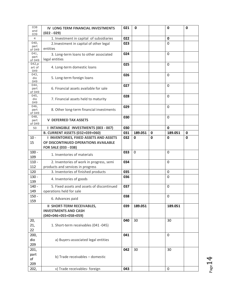| 038<br>and<br>039         | IV LONG TERM FINANCIAL INVESTMENTS<br>$(022 - 029)$                                                           | 021 | $\mathbf 0$ |   | $\mathbf 0$ | $\mathbf 0$ |
|---------------------------|---------------------------------------------------------------------------------------------------------------|-----|-------------|---|-------------|-------------|
| 4                         | 1. Investment in capital of subsidiaries                                                                      | 022 |             |   | 0           |             |
| 040,<br>part<br>of 049    | 2. Investment in capital of other legal<br>entities                                                           | 023 |             |   | 0           |             |
| 041,<br>part<br>of 049    | 3. Long-term loans to other associated<br>legal entities                                                      | 024 |             |   | $\Omega$    |             |
| 042,p<br>art of<br>049    | 4. Long-term domestic loans                                                                                   | 025 |             |   | $\Omega$    |             |
| 043,<br>dio<br>049        | 5. Long-term foreign loans                                                                                    | 026 |             |   | 0           |             |
| 044,<br>part<br>of 049    | 6. Financial assets available for sale                                                                        | 027 |             |   | 0           |             |
| 045,<br>dio<br>049        | 7. Financial assets held to maturity                                                                          | 028 |             |   | 0           |             |
| 046,<br>part<br>of 049    | 8. Other long-term financial investments                                                                      | 029 |             |   | 0           |             |
| 048,<br>part<br>of 049    | <b>V DEFERRED TAX ASSETS</b>                                                                                  | 030 |             |   | 0           |             |
| 50                        | I INTANGIBLE INVESTMENTS (003 - 007)                                                                          | 030 |             |   | 0           |             |
|                           | <b>B. CURRENT ASSETS (032+039+060)</b>                                                                        | 031 | 189.051     | 0 | 189.051     | 0           |
| $10 -$<br>15              | <b>I INVENTORIES, FIXED ASSETS AND ASSETS</b><br>OF DISCONTINUED OPERATIONS AVAILABLE<br>FOR SALE (033 - 038) | 032 | $\mathbf 0$ | 0 | 0           | 0           |
| $100 -$<br>109            | 1. Inventories of materials                                                                                   | 033 | $\Omega$    |   | 0           |             |
| $110 -$<br>112            | 2. Inventories of work in progress, semi<br>products and services in progress                                 | 034 |             |   | 0           |             |
| 120                       | 3. Inventories of finished products                                                                           | 035 |             |   | 0           |             |
| $130 -$<br>139            | 4. Inventories of goods                                                                                       | 036 |             |   | 0           |             |
| $140 -$<br>149            | 5. Fixed assets and assets of discontinued<br>operations held for sale                                        | 037 |             |   | 0           |             |
| $150 -$<br>159            | 6. Advances paid                                                                                              | 038 |             |   | 0           |             |
|                           | <b>II SHORT-TERM RECEIVABLES,</b><br><b>INVESTMENTS AND CASH</b><br>$(040+046+055+058+059)$                   | 039 | 189.051     |   | 189.051     |             |
| 20,<br>21,<br>22          | 1. Short-term receivables (041 -045)                                                                          | 040 | 30          |   | 30          |             |
| 200,<br>dio<br>209        | a) Buyers-associated legal entities                                                                           | 041 |             |   | $\mathbf 0$ |             |
| 201,<br>part<br>of<br>209 | b) Trade receivables - domestic                                                                               | 042 | 30          |   | 30          |             |
| 202,                      | v) Trade receivables- foreign                                                                                 | 043 |             |   | 0           |             |

 $P_{\text{age}}14$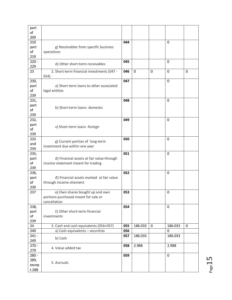| part        |                                            |     |         |             |          |   |
|-------------|--------------------------------------------|-----|---------|-------------|----------|---|
| of          |                                            |     |         |             |          |   |
| 209         |                                            |     |         |             | 0        |   |
| 210<br>part | g) Receivables from specific business      | 044 |         |             |          |   |
| of          | operations                                 |     |         |             |          |   |
| 219         |                                            |     |         |             |          |   |
| $220 -$     |                                            | 045 |         |             | 0        |   |
| 229         | d) Other short-term receivables            |     |         |             |          |   |
| 23          | 2. Short-term financial investments (047 - | 046 | 0       | $\mathbf 0$ | 0        | 0 |
|             | 054)                                       |     |         |             |          |   |
| 230,        |                                            | 047 |         |             | 0        |   |
| part        | a) Short-term loans to other associated    |     |         |             |          |   |
| of          | legal entities                             |     |         |             |          |   |
| 239         |                                            |     |         |             |          |   |
| 231,        |                                            | 048 |         |             | $\Omega$ |   |
| part<br>of  | b) Short-term loans- domestic              |     |         |             |          |   |
| 239         |                                            |     |         |             |          |   |
| 232,        |                                            | 049 |         |             | 0        |   |
| part        |                                            |     |         |             |          |   |
| of          | v) Short-term loans -foreign               |     |         |             |          |   |
| 239         |                                            |     |         |             |          |   |
| 233         | g) Current portion of long-term            | 050 |         |             | 0        |   |
| and         | investment due within one year             |     |         |             |          |   |
| 234         |                                            |     |         |             |          |   |
| 235,        |                                            | 051 |         |             | 0        |   |
| part        | d) Financial assets at fair value through  |     |         |             |          |   |
| of<br>239   | income statement meant for trading         |     |         |             |          |   |
| 236,        |                                            | 052 |         |             | 0        |   |
| part        | đ) Financial assets marked at fair value   |     |         |             |          |   |
| of          | through income sttement                    |     |         |             |          |   |
| 239         |                                            |     |         |             |          |   |
| 237         | e) Own shares bought up and own            | 053 |         |             | 0        |   |
|             | portions purchased meant for sale or       |     |         |             |          |   |
|             | cancellation                               |     |         |             |          |   |
| 238,        |                                            | 054 |         |             | 0        |   |
| part        | ž) Other short-term financial              |     |         |             |          |   |
| of          | investments                                |     |         |             |          |   |
| 239<br>24   | 3. Cash and cash equivalents (056+057)     | 055 | 186.033 | 0           | 186.033  | 0 |
| 240         | a) Cash equivalents - securities           | 056 |         |             | 0        |   |
| $241 -$     |                                            | 057 | 186.033 |             | 186.033  |   |
| 249         | b) Cash                                    |     |         |             |          |   |
| $270 -$     |                                            | 058 | 2.988   |             | 2.988    |   |
| 279         | 4. Value added tax                         |     |         |             |          |   |
| $280 -$     |                                            | 059 |         |             | 0        |   |
| 289,        | 5. Accruals                                |     |         |             |          |   |
| excep       |                                            |     |         |             |          |   |
| t 288       |                                            |     |         |             |          |   |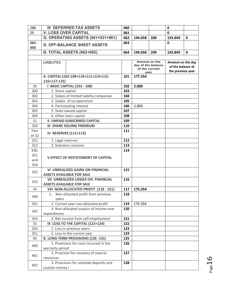| 288                       | <b>III DEFERRED TAX ASSETS</b>                                                | 060 |                                                               |     | 0                                                           |              |
|---------------------------|-------------------------------------------------------------------------------|-----|---------------------------------------------------------------|-----|-------------------------------------------------------------|--------------|
| 29                        | <b>V. LOSS OVER CAPITAL</b>                                                   | 061 |                                                               |     | 0                                                           |              |
|                           | G. OPERATING ASSETS (001+031+061)                                             | 062 | 194.058                                                       | 209 | 193.849                                                     | 0            |
| $880 -$<br>888            | <b>D. OFF-BALANCE SHEET ASSETS</b>                                            | 063 |                                                               |     | $\mathbf{0}$                                                |              |
|                           | <b>Đ. TOTAL ASSETS (062+063)</b>                                              | 064 | 194.058                                                       | 209 | 193.849                                                     | $\mathbf{0}$ |
|                           | <b>LIABILITIES</b>                                                            |     | Amonut on the<br>day of the balance<br>of the current<br>year |     | Amonut on the day<br>of the balance of<br>the previous year |              |
|                           | A. CAPITAL (102-109+110+111+114+115-<br>116+117-122)                          | 101 | 177.354                                                       |     |                                                             |              |
| 30                        | I BASIC CAPITAL (103 - 108)                                                   | 102 | 2.000                                                         |     |                                                             |              |
| 300                       | 1. Share capital                                                              | 103 |                                                               |     |                                                             |              |
| 302                       | 2. Stakes of limited liability companies                                      | 104 |                                                               |     |                                                             |              |
| 303                       | 3. Stakes of co-operatives                                                    | 105 |                                                               |     |                                                             |              |
| 304                       | 4. Participating interest                                                     | 106 | 2.000                                                         |     |                                                             |              |
| 305                       | 5. State owned capital                                                        | 107 |                                                               |     |                                                             |              |
| 306                       | 6. Other basic capital                                                        | 108 |                                                               |     |                                                             |              |
| 31                        | <b>II UNPAID SUBSCRIBED CAPITAL</b>                                           | 109 |                                                               |     |                                                             |              |
| 320                       | <b>III SHARE ISSUING PREMIUM</b>                                              | 110 |                                                               |     |                                                             |              |
| Part<br>of 32             | <b>IV RESERVES (112+113)</b>                                                  | 111 |                                                               |     |                                                             |              |
| 321                       | 1. Legal reserves                                                             | 112 |                                                               |     |                                                             |              |
| 322                       | 2. Statutory reserves                                                         | 113 |                                                               |     |                                                             |              |
| 330,<br>331<br>and<br>334 | <b>V EFFECT OF RESTATEMENT OF CAPITAL</b>                                     | 114 |                                                               |     |                                                             |              |
| 332                       | <b>VI UNREALIZED GAINS ON FINANCIAL</b><br><b>ASSETS AVAILABLE FOR SALE</b>   | 115 |                                                               |     |                                                             |              |
| 333                       | <b>VII UNREALIZED LOSSES ON FINANCIAL</b><br><b>ASSETS AVAILABLE FOR SALE</b> | 116 |                                                               |     |                                                             |              |
| 34                        | VIII NON-ALLOCATED PROFIT (118 - 121)                                         | 117 | 175.354                                                       |     |                                                             |              |
| 340                       | 1. Non-allocated profit from previous<br>years                                | 118 |                                                               |     |                                                             |              |
| 341                       | 2. Current year non-allocated profit                                          | 119 | 175.354                                                       |     |                                                             |              |
| 342                       | 3. Non-allocated surplus of income over<br>expenditures                       | 120 |                                                               |     |                                                             |              |
| 343                       | 4. Net income from self-employment                                            | 121 |                                                               |     |                                                             |              |
| 35                        | IX LOSS TO THE CAPITAL (123+124)                                              | 122 |                                                               |     |                                                             |              |
| 350                       | 1. Loss in previous years                                                     | 123 |                                                               |     |                                                             |              |
| 351                       | 2. Loss in the current year                                                   | 124 |                                                               |     |                                                             |              |
| 40                        | B. LONG-TERM PROVISIONS (126 -131)                                            | 125 |                                                               |     |                                                             |              |
| 400                       | 1. Provisions for costs incurred in the<br>warranty period                    | 126 |                                                               |     |                                                             |              |
| 401                       | 2. Provision for recovery of natural<br>resources                             | 127 |                                                               |     |                                                             |              |
| 402                       | 3. Provisions for retained deposits and<br>caution money I                    | 128 |                                                               |     |                                                             |              |

 $Page16$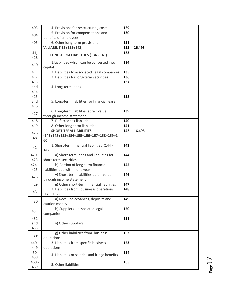| 403        | 4. Provisions for restructuring costs              | 129 |        |  |
|------------|----------------------------------------------------|-----|--------|--|
|            | 5. Provision for compensations and                 | 130 |        |  |
| 404        | benefits of employees                              |     |        |  |
| 405        | 6. Other long-term provisions                      | 131 |        |  |
|            | <b>V. LIABILITIES (133+142)</b>                    | 132 | 16.495 |  |
| 41,<br>418 | I LONG-TERM LIABILITIES (134 - 141)                | 133 |        |  |
|            | 1. Liabilities which can be converted into         | 134 |        |  |
| 410        | capital                                            |     |        |  |
| 411        | 2. Liabilities to associated legal companies       | 135 |        |  |
| 412        | 3. Liabilities for long-term securities            | 136 |        |  |
| 413        |                                                    | 137 |        |  |
| and        | 4. Long-term loans                                 |     |        |  |
| 414        |                                                    |     |        |  |
| 415        |                                                    | 138 |        |  |
| and        | 5. Long-term liabilities for financial lease       |     |        |  |
| 416        |                                                    |     |        |  |
| 417        | 6. Long-term liabilities at fair value             | 139 |        |  |
|            | through income statement                           |     |        |  |
| 418        | 7. Deferred tax liabilities                        | 140 |        |  |
| 419        | 8. Other long-term liabilities                     | 141 |        |  |
| $42 -$     | <b>II SHORT-TERM LIABILITIES</b>                   | 142 | 16.495 |  |
| 48         | (143+148+153+154+155+156+157+158+159+1             |     |        |  |
|            | 60)                                                |     |        |  |
| 42         | 1. Short-term financial liabilities (144 -<br>147) | 143 |        |  |
| $420 -$    | a) Short-term loans and liabilities for            | 144 |        |  |
| 423        | short-term securities                              |     |        |  |
| 424 i      | b) Portion of long-term financial                  | 145 |        |  |
| 425        | liabilities due within one year                    |     |        |  |
|            | v) Short-term liabilities at fair value            | 146 |        |  |
| 426        | through income statement                           |     |        |  |
| 429        | g) Other short-term financial liabilities          | 147 |        |  |
|            | 2. Liabilities from businesss operations           | 148 |        |  |
| 43         | $(149 - 152)$                                      |     |        |  |
|            | a) Received advances, deposits and                 | 149 |        |  |
| 430        | caution money                                      |     |        |  |
| 431        | b) Suppliers - associated legal<br>companies       | 150 |        |  |
| 432        |                                                    | 151 |        |  |
| and        | v) Other suppliers                                 |     |        |  |
| 433        |                                                    |     |        |  |
| 439        | g) Other liabilities from business<br>operations   | 152 |        |  |
| $440 -$    | 3. Liabilities from specific business              | 153 |        |  |
| 449        | operations                                         |     |        |  |
| $450 -$    |                                                    | 154 |        |  |
| 458        | 4. Liabilities or salaries and fringe benefits     |     |        |  |
| $460 -$    |                                                    | 155 |        |  |
| 469        | 5. Other liabilities                               |     |        |  |

 $P_{\text{age}}17$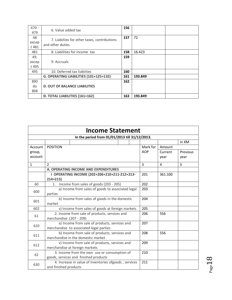| $470 -$<br>479        | 6. Value added tax                                               |     |         |  |
|-----------------------|------------------------------------------------------------------|-----|---------|--|
| 48<br>excep<br>t 481  | 7. Liabiities for other taxes, contributions<br>and other duties |     | 72      |  |
| 481                   | 8. Liabilities for income tax                                    | 158 | 16.423  |  |
| 49,<br>excep<br>t 495 | 9. Accruals                                                      | 159 |         |  |
| 495                   | 10. Deferred tax liabiities                                      | 160 |         |  |
|                       | G. OPERATING LIABILITIES (101+125+132)                           | 161 | 193.849 |  |
| 890<br>do<br>898      | <b>D. OUT OF BALANCE LIABILITIES</b>                             | 162 |         |  |
|                       | <b>Đ. TOTAL LIABILITIES (161+162)</b>                            | 163 | 193.849 |  |

| <b>Income Statement</b> |                                                                                          |            |         |          |  |  |  |  |
|-------------------------|------------------------------------------------------------------------------------------|------------|---------|----------|--|--|--|--|
|                         | In the period from 01/01/2013 till 31/12/2013.                                           |            |         |          |  |  |  |  |
|                         |                                                                                          |            |         | in KM    |  |  |  |  |
| Account                 | <b>POSITION</b>                                                                          | Mark for   | Amount  |          |  |  |  |  |
| group,                  |                                                                                          | <b>AOP</b> | Current | Previous |  |  |  |  |
| account                 |                                                                                          |            | year    | year     |  |  |  |  |
| $\mathbf{1}$            | $\overline{2}$                                                                           | 3          | 4       | 5        |  |  |  |  |
|                         | A. OPERATING INCOME AND EXPENDITURES                                                     |            |         |          |  |  |  |  |
|                         | I OPERATING INCOME (202+206+210+211-212+213-<br>$214 + 215$                              | 201        | 361.100 |          |  |  |  |  |
| 60                      | Income from sales of goods (203 - 205)<br>1.                                             | 202        |         |          |  |  |  |  |
| 600                     | a) Income from sales of goods to associated legal                                        | 203        |         |          |  |  |  |  |
|                         | parties                                                                                  |            |         |          |  |  |  |  |
| 601                     | b) Income from sales of goods in the domestic<br>market                                  | 204        |         |          |  |  |  |  |
| 602                     | v) Income from sales of goods at foreign markets                                         | 205        |         |          |  |  |  |  |
| 61                      | 2. Income from sale of products, services and<br>merchandise (207 - 209)                 | 206        | 556     |          |  |  |  |  |
| 610                     | a) Income from sale of products, services and<br>merchandise to associated legal parties | 207        |         |          |  |  |  |  |
| 611                     | b) Income from sale of products, services and<br>merchandise in the domestic market      | 208        | 556     |          |  |  |  |  |
| 612                     | v) Income from sale of products, services and<br>merchandise at foreign markets          | 209        |         |          |  |  |  |  |
| 62                      | 3. Income from the own use or consumption of<br>goods, services and finished products    | 210        |         |          |  |  |  |  |
| 630                     | 4. Increase in value of inventories ofgoods, services<br>and finished products           | 211        |         |          |  |  |  |  |

 $P<sub>age</sub>18$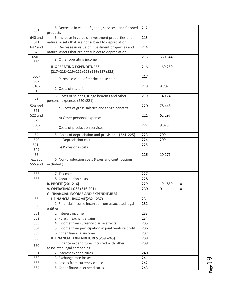| 631               | 5. Decrease in value of goods, services and finished                  | 212 |         |             |
|-------------------|-----------------------------------------------------------------------|-----|---------|-------------|
|                   | products                                                              |     |         |             |
| 640 and           | 6. Increase in value of investment properties and                     | 213 |         |             |
| 641               | natural assets that are not subject to depreciation                   |     |         |             |
| 642 and           | 7. Decrease in value of investment properties and                     | 214 |         |             |
| 643               | natural assets that are not subject to depreciation                   |     |         |             |
| $650 -$           | 8. Other operating income                                             | 215 | 360.544 |             |
| 659               |                                                                       |     |         |             |
|                   | <b>II OPERATING EXPENDITURES</b><br>(217+218+219+222+223+226+227+228) | 216 | 169.250 |             |
| $500 -$           |                                                                       | 217 |         |             |
| 502               | 1. Purchase value of merhcandise sold                                 |     |         |             |
| $510 -$           |                                                                       |     | 8.702   |             |
| 513               | 2. Costs of material                                                  | 218 |         |             |
|                   | 3. Costs of salaries, fringe benefits and other                       | 219 | 140.745 |             |
| 52                | personal expenses (220+221)                                           |     |         |             |
| 520 and           |                                                                       | 220 | 78.448  |             |
| 521               | a) Costs of gross salaries and fringe benefits                        |     |         |             |
| 522 and           |                                                                       | 221 | 62.297  |             |
| 529               | b) Other personal expenses                                            |     |         |             |
| $530 -$           |                                                                       | 222 | 9.323   |             |
| 539               | 4. Costs of production services                                       |     |         |             |
| 54                |                                                                       | 223 | 209     |             |
|                   | 5. Costs of depreciation and provisions (224+225)                     | 224 |         |             |
| 540<br>$541 -$    | a) Depreciation cost                                                  | 225 | 209     |             |
|                   | b) Provisions costs                                                   |     |         |             |
| 549<br>55         |                                                                       | 226 | 10.271  |             |
|                   |                                                                       |     |         |             |
| except<br>555 and | 6. Non-production costs (taxes and contributions<br>excluded)         |     |         |             |
| 556               |                                                                       |     |         |             |
| 555               | 7. Tax costs                                                          | 227 |         |             |
| 556               | 8. Contribution costs                                                 | 228 |         |             |
|                   |                                                                       | 229 |         | $\mathbf 0$ |
|                   | <b>B. PROFIT (201-216)</b>                                            |     | 191.850 |             |
|                   | V. OPERATING LOSS (216-201)                                           | 230 | 0       | 0           |
|                   | <b>G. FINANCIAL INCOME AND EXPENDITURES</b>                           |     |         |             |
| 66                | I FINANCIAL INCOME(232 - 237)                                         | 231 |         |             |
| 660               | 1. Financial income incurred from associated legal                    | 232 |         |             |
|                   | entities                                                              |     |         |             |
| 661               | 2. Interest income                                                    | 233 |         |             |
| 662               | 3. Foreign exchange gains                                             | 234 |         |             |
| 663               | 4. Income from currency clause effects                                | 235 |         |             |
| 664               | 5. Income from participation in joint venture profit                  | 236 |         |             |
| 669               | 6. Other financial income                                             | 237 |         |             |
| 56                | <b>II FINANCIAL EXPENDITURES (239 -243)</b>                           | 238 |         |             |
| 560               | 1. Finance expenditures incurred with other                           | 239 |         |             |
|                   | associated legal companies                                            |     |         |             |
| 561               | 2. Interest expenditures                                              | 240 |         |             |
| 562               | 3. Exchange rate losses                                               | 241 |         |             |
| 563               | 4. Losses from currency clause                                        | 242 |         |             |
| 564               | 5. Other financial expenditures                                       | 243 |         |             |

 $_{\rm Page}19$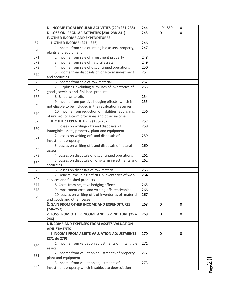|     | D. INCOME FROM REGULAR ACTIVITIES (229+231-238)                                                          | 244 | 191.850     | $\mathbf 0$ |
|-----|----------------------------------------------------------------------------------------------------------|-----|-------------|-------------|
|     | Đ. LOSS ON REGULAR ACTIVITIES (230+238-231)<br>245                                                       |     | 0           | 0           |
|     | <b>E. OTHER INCOME AND EXPENDITURES</b>                                                                  |     |             |             |
| 67  | <b>I OTHER INCOME (247 - 256)</b>                                                                        | 246 |             |             |
|     | 1. Income from sale of intangible assets, property,                                                      | 247 |             |             |
| 670 | plants and equipment                                                                                     |     |             |             |
| 671 | 2. Income from sale of investment property                                                               | 248 |             |             |
| 672 | 3. Income from sale of natural assets                                                                    | 249 |             |             |
| 673 | 4. Income from sale of discontinued operations                                                           | 250 |             |             |
| 674 | 5. Income from disposals of long-term investment                                                         | 251 |             |             |
|     | and securities                                                                                           |     |             |             |
| 675 | 6. Income from sale of row material                                                                      | 252 |             |             |
| 676 | 7. Surpluses, excluding surpluses of inventories of                                                      | 253 |             |             |
|     | goods, services and finished products                                                                    |     |             |             |
| 677 | 8. Billed write-offs                                                                                     | 254 |             |             |
| 678 | 9. Income from positive hedging effects, which is                                                        | 255 |             |             |
|     | not eligible to be included in the revaluation reserves                                                  |     |             |             |
| 679 | 10. Income from reduction of liabilities, abolishing                                                     | 256 |             |             |
|     | of unused long-term provisions and other income                                                          |     |             |             |
| 57  | II OTHER EXPENDITURES (258-267)                                                                          | 257 |             |             |
| 570 | 1. Losses on writing- offs and disposals of                                                              | 258 |             |             |
|     | intangible assets, property, plant and equipment                                                         |     |             |             |
| 571 | 2. Losses on writing-offs and disposals of                                                               | 259 |             |             |
|     | investment property                                                                                      |     |             |             |
| 572 | 3. Losses on writing-offs and disposals of natural                                                       | 260 |             |             |
|     | assets                                                                                                   | 261 |             |             |
| 573 | 4. Losses on disposals of discontinued operations<br>5. Losses on disposals of long-term investments and | 262 |             |             |
| 574 | securities                                                                                               |     |             |             |
| 575 | 6. Losses on disposals of row material                                                                   | 263 |             |             |
|     | 7. Deficits, excluding deficits in inventories of work,                                                  | 264 |             |             |
| 576 | services and finished products                                                                           |     |             |             |
| 577 | 8. Costs from negative hedging effects                                                                   | 265 |             |             |
| 578 | 9. Impairment costs and writing-offs receivables                                                         | 266 |             |             |
|     | 10. Losses on writing-offs of inventories of material                                                    | 267 |             |             |
| 579 | and goods and other losses                                                                               |     |             |             |
|     | Ž. GAIN FROM OTHER INCOME AND EXPENDITURES                                                               | 268 | $\mathbf 0$ | $\Omega$    |
|     | $(246 - 257)$                                                                                            |     |             |             |
|     | Z. LOSS FROM OTHER INCOME AND EXPENDITURE (257-                                                          | 269 | $\mathbf 0$ | 0           |
|     | 246)                                                                                                     |     |             |             |
|     | <b>I. INCOME AND EXPENSES FROM ASSETS VALUATION</b>                                                      |     |             |             |
|     | <b>ADJUSTMENTS</b>                                                                                       |     |             |             |
| 68  | <b>I INCOME FROM ASSETS VALUATION ADJUSTMENTS</b>                                                        | 270 | $\Omega$    | $\Omega$    |
|     | (271 do 279)                                                                                             |     |             |             |
| 680 | 1. Income from valuation adjustments of intangible                                                       | 271 |             |             |
|     | assets                                                                                                   |     |             |             |
| 681 | 2. Income from valuation adjustmentS of property,                                                        | 272 |             |             |
|     | plant and equipment                                                                                      |     |             |             |
| 682 | 3. Income from valuation adjustments of                                                                  | 273 |             |             |
|     | investment property which is subject to depreciation                                                     |     |             |             |

 $_{\rm Page}$ 20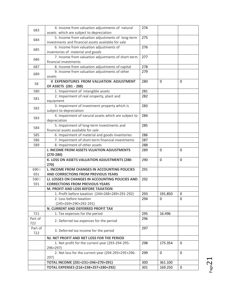| 683            | 4. Income from valuation adjustments of natural<br>assets which are subject to depreciation | 274        |                    |             |
|----------------|---------------------------------------------------------------------------------------------|------------|--------------------|-------------|
| 684            | 5. Income from valuation adjustments of long-term                                           | 275        |                    |             |
|                | investments and financial assets available for sale                                         |            |                    |             |
| 685            | 6. Income from valuation adjustments of<br>inventories of material and goods                | 276        |                    |             |
| 686            | 7. Income from valuation adjustments of short-term<br>financial investments                 | 277        |                    |             |
| 687            | 8. Income from valuation adjustments of capital                                             | 278        |                    |             |
| 689            | 9. Income from valuation adjustments of other<br>assets                                     | 279        |                    |             |
| 58             | <b>II EXPENDITURES FROM VALUATION ADJUSTMENT</b>                                            | 280        | $\mathbf 0$        | $\mathbf 0$ |
|                | OF ASSETS (281 - 288)                                                                       | 281        |                    |             |
| 580            | 1. Impairment of intangible assets                                                          |            |                    |             |
| 581            | 2. Impairment of real oroperty, plant and<br>equipment                                      | 282        |                    |             |
| 582            | 3. Impairment of investment property which is<br>subject to depreciation                    | 283        |                    |             |
|                | 4. Impairment of narural assets which are subject to                                        | 284        |                    |             |
| 583            | depreciation                                                                                |            |                    |             |
|                | 5. Impairment of long-term investments and                                                  | 285        |                    |             |
| 584            | financial assets available for sale                                                         |            |                    |             |
| 585            | 6. Impairment of material and goods inventories                                             | 286        |                    |             |
| 586            | 7. Impairment of short-term financial investments                                           | 287        |                    |             |
| 589            | 8. Impairment of other assets                                                               | 288        |                    |             |
|                | J. INCOME FROM ASSETS VLUATION ADJUSTMENTS<br>$(270-280)$                                   | 289        | $\mathbf 0$        | 0           |
|                | K. LOSS ON ASSETS VALUATION ADJUSTMENTS (280-                                               | 290        | $\Omega$           | 0           |
|                | 270)                                                                                        |            |                    |             |
| 690 i          | L. INCOME FROM CHANGES IN ACCOUNTING POLICIES                                               | 291        |                    |             |
| 691            | AND CORRECTIONS FROM PREVIOUS YEARS                                                         |            |                    |             |
| 590 i          | LJ. LOSSES ON CHANGES IN ACCOUNTING POLICIES AND                                            | 292        |                    |             |
| 591            | <b>CORRECTIONS FROM PREVIOUS YEARS</b>                                                      |            |                    |             |
|                | M. PROFIT AND LOSS BEFORE TAXATION                                                          |            |                    |             |
|                | 1. Profit before taxation (244+268+289+291-292)                                             | 293        | 191.850            | 0           |
|                | 2. Loss before taxation<br>$(245+269+290+292-291)$                                          | 294        | 0                  | 0           |
|                | N. CURRENT AND DEFERRED PROFIT TAX                                                          |            |                    |             |
| 721            | 1. Tax expenses for the period                                                              | 295        | 16.496             |             |
| Part of<br>722 | 2. Deferred tax expenses for the period                                                     | 296        |                    |             |
| Part of<br>722 | 3. Deferred tax income for the period                                                       | 297        |                    |             |
|                | NJ. NET PROFIT AND NET LOSS FOR THE PERIOD                                                  |            |                    |             |
|                | 1. Net profit for the current year (293-294-295-<br>296+297)                                | 298        | 175.354            | $\Omega$    |
|                | 2. Net loss for the current year (294-293+295+296-                                          | 299        | $\Omega$           | $\Omega$    |
|                |                                                                                             |            |                    |             |
|                | 297)                                                                                        |            |                    |             |
|                | TOTAL INCOME (201+231+246+270+291)<br>TOTAL EXPENSES (216+238+257+280+292)                  | 300<br>301 | 361.100<br>169.250 | 0           |

 $P_{{\rm age}}21$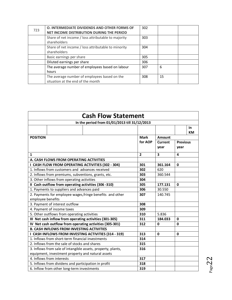| 723 | O. INTERMEDIATE DIVIDENDS AND OTHER FORMS OF<br>NET INCOME DISTRIBUTION DURING THE PERIOD | 302 |    |  |
|-----|-------------------------------------------------------------------------------------------|-----|----|--|
|     | Share of net income / loss attributable to majority                                       | 303 |    |  |
|     | shareholders                                                                              |     |    |  |
|     | Share of net income / loss attributable to minority                                       | 304 |    |  |
|     | shareholders                                                                              |     |    |  |
|     | Basic earnings per share                                                                  | 305 |    |  |
|     | Diluted earnings per share                                                                | 306 |    |  |
|     | The average number of employees based on labour                                           | 307 | 6  |  |
|     | hours                                                                                     |     |    |  |
|     | The average number of employees based on the                                              | 308 | 15 |  |
|     | situation at the end of the month                                                         |     |    |  |

| <b>Cash Flow Statement</b>                                                     |                       |         |                 |  |  |  |  |
|--------------------------------------------------------------------------------|-----------------------|---------|-----------------|--|--|--|--|
| In the period from 01/01/2013 till 31/12/2013                                  |                       |         |                 |  |  |  |  |
|                                                                                |                       |         | in<br><b>KM</b> |  |  |  |  |
| <b>POSITION</b>                                                                | <b>Mark</b><br>Amount |         |                 |  |  |  |  |
|                                                                                | for AOP               | Current | <b>Previous</b> |  |  |  |  |
|                                                                                |                       | year    | year            |  |  |  |  |
| $\mathbf{1}$                                                                   | $\overline{2}$        | 3       | 4               |  |  |  |  |
| A. CASH FLOWS FROM OPERATING ACTIVITIES                                        |                       |         |                 |  |  |  |  |
| I CASH FLOW FROM OPERATING ACTIVITIES (302 - 304)                              | 301                   | 361.164 | $\mathbf 0$     |  |  |  |  |
| 1. Inflows from customers and advances received                                | 302                   | 620     |                 |  |  |  |  |
| 2. Inflows from premiums, subventions, grants, etc.                            | 303                   | 360.544 |                 |  |  |  |  |
| 3. Other inflows from operating activities                                     | 304                   |         |                 |  |  |  |  |
| II Cash outflow from operating activities (306 -310)                           | 305                   | 177.131 | 0               |  |  |  |  |
| 1. Payments to suppliers and advances paid                                     | 306                   | 30.550  |                 |  |  |  |  |
| 2. Payments for employee wages, fringe benefits and other<br>employee benefits | 307                   | 140.745 |                 |  |  |  |  |
| 3. Payment of interest outflow                                                 | 308                   |         |                 |  |  |  |  |
| 4. Payment of income taxes                                                     | 309                   |         |                 |  |  |  |  |
| 5. Other outflows from operating activities                                    | 310                   | 5.836   |                 |  |  |  |  |
| III Net cash inflow from operating activities (301-305)                        | 311                   | 184.033 | 0               |  |  |  |  |
| IV Net cash outflow from operating activities (305-301)                        | 312                   | 0       | 0               |  |  |  |  |
| <b>B. CASH INFLOWS FROM INVESTING ACTIVITIES</b>                               |                       |         |                 |  |  |  |  |
| I CASH INFLOWS FROM INVESTING ACTIVITIES (314 - 319)                           | 313                   | 0       | $\mathbf 0$     |  |  |  |  |
| 1. Inflows from short-term financial investments                               | 314                   |         |                 |  |  |  |  |
| 2. Inflows from the sale of stocks and shares                                  | 315                   |         |                 |  |  |  |  |
| 3. Inflows from sale of intangible assets, property, plants,                   | 316                   |         |                 |  |  |  |  |
| equipment, investment property and natural assets                              |                       |         |                 |  |  |  |  |
| 4. Inflows from interests                                                      | 317                   |         |                 |  |  |  |  |
| 5. Inflows from dividens and participation in profit                           | 318                   |         |                 |  |  |  |  |
| 6. Inflow from other long-term investments                                     | 319                   |         |                 |  |  |  |  |

 $P_{\text{age}}22$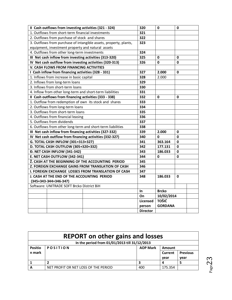| II Cash outflows from investing activities (321 - 324)            | 320             | 0              | 0            |  |
|-------------------------------------------------------------------|-----------------|----------------|--------------|--|
| 1. Outflows from short-term financial investments                 | 321             |                |              |  |
| 2. Outflows from purchase of stock and shares                     | 322             |                |              |  |
| 3. Outflows from purchase of intangible assets, property, plants, | 323             |                |              |  |
| equipment, investment property and natural assets                 |                 |                |              |  |
| 4. Outflows from other long-term investments                      | 324             |                |              |  |
| III Net cash inflow from investing activities (313-320)           | 325             | 0              | 0            |  |
| IV Net cash outflow from investing activities (320-313)           | 326             | 0              | 0            |  |
| V. CASH FLOWS FROM FINANCING ACTIVITIES                           |                 |                |              |  |
| I Cash inflow from financing activities (328 - 331)               | 327             | 2.000          | 0            |  |
| 1. Inflows from increase in basic capital                         | 328             | 2.000          |              |  |
| 2. Inflows from long-term loans                                   | 329             |                |              |  |
| 3. Inflows from short-term loans                                  | 330             |                |              |  |
| 4. Inflow from other long-term and short-term liabilities         | 331             |                |              |  |
| II Cash outflows from financing activities (333 - 338)            | 332             | 0              | 0            |  |
| 1. Outflow from redemption of own its stock and shares            | 333             |                |              |  |
| 2. Outflows from long-term loans                                  | 334             |                |              |  |
| 3. Outflows from short-term loans                                 | 335             |                |              |  |
| 4. Outflows from financial leasing                                | 336             |                |              |  |
| 5. Outflows from dividends                                        | 337             |                |              |  |
| 6. Outflows from other long-term and short-term liabilities       | 338             |                |              |  |
| III Net cash inflow from financing activities (327-332)           | 339             | 2.000          | 0            |  |
| IV Net cash outflow from financing activities (332-327)           | 340             | 0              | $\mathbf{0}$ |  |
| G. TOTAL CASH INFLOW (301+313+327)                                | 341             | 363.164        | 0            |  |
| D. TOTAL CASH OUTFLOW (305+320+332)                               | 342             | 177.131        | 0            |  |
| Đ. NET CASH INFLOW (341-342)                                      | 343             | 186.033        | 0            |  |
| E. NET CASH OUTFLOW (342-341)                                     | 344             | 0              | 0            |  |
| Ž. CASH AT THE BEGINNING OF THE ACCOUNTING PERIOD                 | 345             |                |              |  |
| Z. FOREIGN EXCHANGE GAINS FROM TRANSLATION OF CASH                | 346             |                |              |  |
| I. FOREIGN EXCHANGE LOSSES FROM TRANSLATION OF CASH               | 347             |                |              |  |
| J. CASH AT THE END OF THE ACCOUNTING PERIOD                       | 348             | 186.033        | 0            |  |
| (345+343-344+346-347)                                             |                 |                |              |  |
| Software: UNITRADE SOFT Brcko District BiH                        |                 |                |              |  |
|                                                                   | In              | <b>Brcko</b>   |              |  |
|                                                                   | On              | 10/02/2014     |              |  |
|                                                                   | Licensed        | <b>TOŠIĆ</b>   |              |  |
|                                                                   | person          | <b>GORDANA</b> |              |  |
|                                                                   | <b>Director</b> |                |              |  |

| <b>REPORT</b> on other gains and losses |                                               |                 |         |                 |  |  |  |
|-----------------------------------------|-----------------------------------------------|-----------------|---------|-----------------|--|--|--|
|                                         | In the period from 01/01/2013 till 31/12/2013 |                 |         |                 |  |  |  |
| <b>Positio</b>                          | <b>POSITION</b>                               | <b>AOP Mark</b> | Amount  |                 |  |  |  |
| n mark                                  |                                               |                 | Current | <b>Previous</b> |  |  |  |
|                                         |                                               |                 | year    | year            |  |  |  |
|                                         |                                               |                 |         |                 |  |  |  |
| А                                       | NET PROFIT OR NET LOSS OF THE PERIOD          | 400             | 175.354 |                 |  |  |  |

 $P_{\text{age}}23$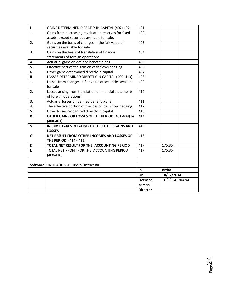| $\begin{array}{c} \hline \end{array}$ | GAINS DETERMINED DIRECTLY IN CAPITAL (402+407)                                   | 401             |                      |  |
|---------------------------------------|----------------------------------------------------------------------------------|-----------------|----------------------|--|
| $\mathbf{1}$ .                        | Gains from decreasing revaluation reserves for fixed                             | 402             |                      |  |
|                                       | assets, except securities available for sale.                                    |                 |                      |  |
| 2.                                    | Gains on the basis of changes in the fair value of                               | 403             |                      |  |
|                                       | securities available for sale                                                    |                 |                      |  |
| 3.                                    | Gains on the basis of translation of financial                                   | 404             |                      |  |
|                                       | statements of foreign operations                                                 |                 |                      |  |
| 4.                                    | Actuarial gains on defined benefit plans                                         | 405             |                      |  |
| 5.                                    | Effective part of the gain on cash flows hedging                                 | 406             |                      |  |
| 6.                                    | Other gains determined directly in capital                                       | 407             |                      |  |
| $\mathbf{H}$                          | LOSSES DETERMINED DIRECTLY IN CAPITAL (409+413)                                  | 408             |                      |  |
| 1.                                    | Losses from changes in fair value of securities available<br>for sale            | 409             |                      |  |
| 2.                                    | Losses arising from translation of financial statements<br>of foreign operations | 410             |                      |  |
| 3.                                    | Actuarial losses on defined benefit plans                                        | 411             |                      |  |
| 4.                                    | The effective portion of the loss on cash flow hedging                           | 412             |                      |  |
| 5.                                    | Other losses recognized directly in capital                                      | 413             |                      |  |
| В.                                    | OTHER GAINS OR LOSSES OF THE PERIOD (401-408) or<br>$(408-401)$                  | 414             |                      |  |
| V.                                    | <b>INCOME TAXES RELATING TO THE OTHER GAINS AND</b><br><b>LOSSES</b>             | 415             |                      |  |
| G.                                    | NET RESULT FROM OTHER INCOMES AND LOSSES OF<br><b>THE PERIOD (414 - 415)</b>     | 416             |                      |  |
| D.                                    | TOTAL NET RESULT FOR THE ACCOUNTING PERIOD                                       | 417             | 175.354              |  |
| Ī.                                    | TOTAL NET PROFIT FOR THE ACCOUNTING PERIOD                                       | 417             | 175.354              |  |
|                                       | $(400-416)$                                                                      |                 |                      |  |
|                                       |                                                                                  |                 |                      |  |
|                                       | Software: UNITRADE SOFT Brcko District BiH                                       |                 |                      |  |
|                                       |                                                                                  | In.             | <b>Brcko</b>         |  |
|                                       |                                                                                  | On              | 10/02/2014           |  |
|                                       |                                                                                  | Licensed        | <b>TOŠIĆ GORDANA</b> |  |
|                                       |                                                                                  | person          |                      |  |
|                                       |                                                                                  | <b>Director</b> |                      |  |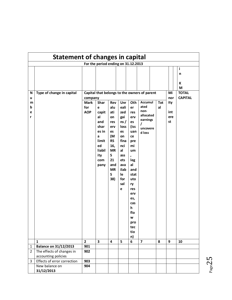| Statement of changes in capital |                              |                |                                     |           |      |      |                                              |            |     |                |
|---------------------------------|------------------------------|----------------|-------------------------------------|-----------|------|------|----------------------------------------------|------------|-----|----------------|
|                                 |                              |                | For the period ending on 31.12.2013 |           |      |      |                                              |            |     |                |
|                                 |                              |                |                                     |           |      |      |                                              |            |     | j.             |
|                                 |                              |                |                                     |           |      |      |                                              |            |     | n              |
|                                 |                              |                |                                     |           |      |      |                                              |            |     |                |
|                                 |                              |                |                                     |           |      |      |                                              |            |     | К              |
|                                 |                              |                |                                     |           |      |      |                                              |            |     | M              |
| N                               | Type of change in capital    |                |                                     |           |      |      | Capital that belongs to the owners of parent |            | Mi  | <b>TOTAL</b>   |
| u                               |                              | company        |                                     |           |      |      |                                              |            | nor | <b>CAPITAL</b> |
| m                               |                              | <b>Mark</b>    | Shar                                | Rev       | Unr  | Oth  | Accumul                                      | <b>Tot</b> | ity |                |
| b                               |                              | for            | e                                   | alu       | eali | er   | ated                                         | al         |     |                |
| e                               |                              | <b>AOP</b>     | capit                               | ati       | zed  | res  | non-                                         |            | int |                |
| r                               |                              |                | al                                  | on        | gai  | erv  | allocated                                    |            | ere |                |
|                                 |                              |                | and                                 | res       | ns/  | es   | earnings<br>I                                |            | st  |                |
|                                 |                              |                | shar                                | erv       | loss | (iss | uncovere                                     |            |     |                |
|                                 |                              |                | es in                               | es        | es   | uan  | d loss                                       |            |     |                |
|                                 |                              |                | a                                   | (M        | on   | ce   |                                              |            |     |                |
|                                 |                              |                | limit                               | <b>RS</b> | fina | pre  |                                              |            |     |                |
|                                 |                              |                | ed                                  | 16,       | nci  | mi   |                                              |            |     |                |
|                                 |                              |                | liabil                              | <b>MR</b> | al   | um   |                                              |            |     |                |
|                                 |                              |                | ity                                 | S         | ass  | ,    |                                              |            |     |                |
|                                 |                              |                | com                                 | 21        | ets  | leg  |                                              |            |     |                |
|                                 |                              |                | pany                                | and       | ava  | al   |                                              |            |     |                |
|                                 |                              |                |                                     | <b>MR</b> | ilab | and  |                                              |            |     |                |
|                                 |                              |                |                                     | S         | le   | stat |                                              |            |     |                |
|                                 |                              |                |                                     | 38)       | for  | uto  |                                              |            |     |                |
|                                 |                              |                |                                     |           | sal  | ry   |                                              |            |     |                |
|                                 |                              |                |                                     |           | e    | res  |                                              |            |     |                |
|                                 |                              |                |                                     |           |      | erv  |                                              |            |     |                |
|                                 |                              |                |                                     |           |      | es,  |                                              |            |     |                |
|                                 |                              |                |                                     |           |      | cas  |                                              |            |     |                |
|                                 |                              |                |                                     |           |      | h    |                                              |            |     |                |
|                                 |                              |                |                                     |           |      | flo  |                                              |            |     |                |
|                                 |                              |                |                                     |           |      | w    |                                              |            |     |                |
|                                 |                              |                |                                     |           |      | pro  |                                              |            |     |                |
|                                 |                              |                |                                     |           |      | tec  |                                              |            |     |                |
|                                 |                              |                |                                     |           |      | tio  |                                              |            |     |                |
|                                 |                              |                |                                     |           |      | n)   |                                              |            |     |                |
|                                 | $\mathbf{1}$                 | $\overline{2}$ | $\overline{\mathbf{3}}$             | 4         | 5    | 6    | $\overline{\mathbf{z}}$                      | 8          | 9   | 10             |
| $\mathbf 1$                     | <b>Balance on 31/12/2013</b> | 901            |                                     |           |      |      |                                              |            |     |                |
| $\overline{2}$                  | The effects of changes in    | 902            |                                     |           |      |      |                                              |            |     |                |
|                                 | accounting policies          |                |                                     |           |      |      |                                              |            |     |                |
| 3                               | Effects of error correction  | 903            |                                     |           |      |      |                                              |            |     |                |
|                                 | New balance on               | 904            |                                     |           |      |      |                                              |            |     |                |
|                                 | 31/12/2013                   |                |                                     |           |      |      |                                              |            |     |                |

 $Page25$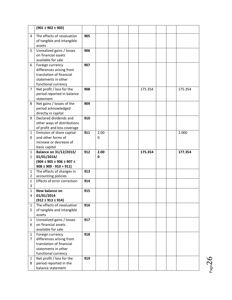|                | $(901 \pm 902 \pm 903)$                                    |     |      |  |         |  |         |
|----------------|------------------------------------------------------------|-----|------|--|---------|--|---------|
| 4              | The effects of revaluation                                 | 905 |      |  |         |  |         |
|                | of tangible and intangible                                 |     |      |  |         |  |         |
|                | assets                                                     |     |      |  |         |  |         |
| 5              | Unrealized gains / losses                                  | 906 |      |  |         |  |         |
|                | on financial assets                                        |     |      |  |         |  |         |
|                | available for sale                                         |     |      |  |         |  |         |
| 6              | Foreign currency                                           | 907 |      |  |         |  |         |
|                | differences arising from                                   |     |      |  |         |  |         |
|                | translation of financial                                   |     |      |  |         |  |         |
|                | statements in other                                        |     |      |  |         |  |         |
|                | functional currency                                        |     |      |  |         |  |         |
| 7              | Net profit / loss for the                                  | 908 |      |  | 175.354 |  | 175.354 |
|                | period reported in balance                                 |     |      |  |         |  |         |
|                | statement                                                  |     |      |  |         |  |         |
| 8              | Net gains / losses of the                                  | 909 |      |  |         |  |         |
|                | period acknowledged                                        |     |      |  |         |  |         |
|                | directly in capital                                        |     |      |  |         |  |         |
| 9              | Declared dividends and                                     | 910 |      |  |         |  |         |
|                | other ways of distributions<br>of profit and loss coverage |     |      |  |         |  |         |
| $\mathbf{1}$   | Emission of share capital                                  | 911 | 2.00 |  |         |  | 2.000   |
| 0              | and other forms of                                         |     | 0    |  |         |  |         |
|                | increase or decrease of                                    |     |      |  |         |  |         |
|                | basic capital                                              |     |      |  |         |  |         |
|                |                                                            |     |      |  |         |  |         |
| $\mathbf{1}$   |                                                            | 912 | 2.00 |  | 175.354 |  | 177.354 |
| $\mathbf{1}$   | Balance on 31/12/2013/<br>01/01/2014/                      |     | 0    |  |         |  |         |
|                | $(904 \pm 905 \pm 906 \pm 907 \pm$                         |     |      |  |         |  |         |
|                | $908 \pm 909 - 910 + 911$                                  |     |      |  |         |  |         |
| $\mathbf{1}$   | The effects of changes in                                  | 913 |      |  |         |  |         |
| $\overline{2}$ | accounting policies                                        |     |      |  |         |  |         |
| $\mathbf{1}$   | Effects of error correction                                | 914 |      |  |         |  |         |
| 3              |                                                            |     |      |  |         |  |         |
| 1              | New balance on                                             | 915 |      |  |         |  |         |
| 4              | 01/01/2014                                                 |     |      |  |         |  |         |
|                | $(912 \pm 913 \pm 914)$                                    |     |      |  |         |  |         |
| $\mathbf{1}$   | The effects of revaluation                                 | 916 |      |  |         |  |         |
| 5              | of tangible and intangible                                 |     |      |  |         |  |         |
|                | assets                                                     |     |      |  |         |  |         |
| $\mathbf{1}$   | Unrealized gains / losses                                  | 917 |      |  |         |  |         |
| 6              | on financial assets                                        |     |      |  |         |  |         |
| $\mathbf{1}$   | available for sale                                         | 918 |      |  |         |  |         |
| $\overline{7}$ | Foreign currency<br>differences arising from               |     |      |  |         |  |         |
|                | translation of financial                                   |     |      |  |         |  |         |
|                | statements in other                                        |     |      |  |         |  |         |
|                | functional currency                                        |     |      |  |         |  |         |
| $\mathbf{1}$   | Net profit / loss for the                                  | 919 |      |  |         |  |         |
| 8              | period reported in the<br>balance statement                |     |      |  |         |  |         |

 $P_{{\rm age}}26$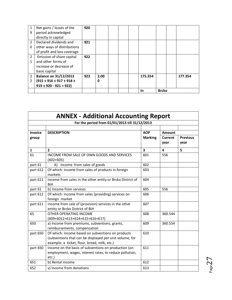| $\mathbf{1}$   | Net gains / losses of the          | 920 |      |  |           |              |         |
|----------------|------------------------------------|-----|------|--|-----------|--------------|---------|
| 9              | period acknowledged                |     |      |  |           |              |         |
|                | directly in capital                |     |      |  |           |              |         |
| $\overline{2}$ | Declared dividends and             | 921 |      |  |           |              |         |
| $\Omega$       | other ways of distributions        |     |      |  |           |              |         |
|                | of profit and loss coverage        |     |      |  |           |              |         |
| 2              | Emission of share capital          | 922 |      |  |           |              |         |
| 1              | and other forms of                 |     |      |  |           |              |         |
|                | increase or decrease of            |     |      |  |           |              |         |
|                | basic capital                      |     |      |  |           |              |         |
| $\overline{2}$ | <b>Balance on 31/12/2013</b>       | 923 | 2.00 |  | 175.354   |              | 177.354 |
| 2              | $(915 \pm 916 \pm 917 \pm 918 \pm$ |     | 0    |  |           |              |         |
|                | $919 \pm 920 - 921 + 922$          |     |      |  |           |              |         |
|                |                                    |     |      |  | <b>In</b> | <b>Brcko</b> |         |

| <b>ANNEX - Additional Accounting Report</b>    |                                                                                                                                                              |                         |                           |                         |  |  |  |
|------------------------------------------------|--------------------------------------------------------------------------------------------------------------------------------------------------------------|-------------------------|---------------------------|-------------------------|--|--|--|
| For the period from 01/01/2013 till 31/12/2013 |                                                                                                                                                              |                         |                           |                         |  |  |  |
| Invoice                                        | <b>DESCRIPTION</b>                                                                                                                                           | <b>AOP</b>              |                           |                         |  |  |  |
| group                                          |                                                                                                                                                              | <b>Marking</b>          | Amount<br>Current<br>year | <b>Previous</b><br>vear |  |  |  |
| $\mathbf{1}$                                   | $\overline{2}$                                                                                                                                               | $\overline{\mathbf{3}}$ | $\overline{\mathbf{4}}$   | 5                       |  |  |  |
| 61                                             | INCOME FROM SALE OF OWN GOODS AND SERVICES<br>$(602+605)$                                                                                                    | 601                     | 556                       |                         |  |  |  |
| part 61                                        | A) Income from sales of goods                                                                                                                                | 602                     |                           |                         |  |  |  |
| part 612                                       | Of which: income from sales of products in foreign<br>markets                                                                                                | 603                     |                           |                         |  |  |  |
| part 611                                       | Income from sales in the other entity or Brcko District of<br><b>BiH</b>                                                                                     | 604                     |                           |                         |  |  |  |
| part 61                                        | b) Income from services                                                                                                                                      | 605                     | 556                       |                         |  |  |  |
| part 612                                       | Of which: income from sales (providing) services on<br>foreign market                                                                                        | 606                     |                           |                         |  |  |  |
| part 611                                       | Income from sale of (provision) services in the other<br>entity or Brcko District of BiH                                                                     | 607                     |                           |                         |  |  |  |
| 65                                             | OTHER OPERATING INCOME<br>$(609+6012+613+614+615+616+617)$                                                                                                   | 608                     | 360.544                   |                         |  |  |  |
| 650                                            | a) Income from premiums, subventions, grants,<br>reimbursements, compensation                                                                                | 609                     | 360.554                   |                         |  |  |  |
| part 650                                       | Of which: Income based on subventions on products<br>(subventions that can be displayed per unit volume, for<br>example: a ticket, flour, bread, milk, etc.) | 610                     |                           |                         |  |  |  |
| part 650                                       | Income on the basis of subventions on production (on<br>employment, wages, interest rates, to reduce pollution,<br>etc.)                                     | 611                     |                           |                         |  |  |  |
| 651                                            | b) Rental income                                                                                                                                             | 612                     |                           |                         |  |  |  |
| 652                                            | v) Income from donations                                                                                                                                     | 613                     |                           |                         |  |  |  |

 $P_{{\rm age}}27$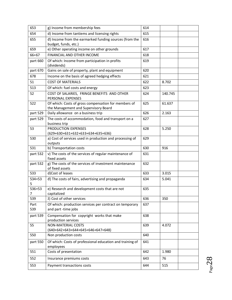| 653         | g) Income from membership fees                                                               | 614 |         |
|-------------|----------------------------------------------------------------------------------------------|-----|---------|
| 654         | d) Income from tantiems and licensing rights                                                 | 615 |         |
| 655         | đ) Income from the earmarked funding sources (from the<br>budget, funds, etc.)               | 616 |         |
| 659         | e) Other operating income on other grounds                                                   | 617 |         |
| $66 + 67$   | FINANCIAL AND OTHER INCOME                                                                   | 618 |         |
| part 660    | Of which: Income from participation in profits<br>(dividends)                                | 619 |         |
| part 670    | Gains on sale of property, plant and equipment                                               | 620 |         |
| 678         | Income on the basis of agreed hedging effects                                                | 621 |         |
| 51          | <b>COST OF MATERIALS</b>                                                                     | 622 | 8.702   |
| 513         | Of which: fuel costs and energy                                                              | 623 |         |
| 52          | COST OF SALARIES, FRINGE BENEFITS AND OTHER<br>PERSONAL EXPENSES                             | 624 | 140.745 |
| 522         | Of which: Costs of gross compensation for members of<br>the Management and Supervisory Board | 625 | 61.637  |
| part 529    | Daily allowance on a business trip                                                           | 626 | 2.163   |
| part 529    | The costs of accommodation, food and transport on a<br>business trip                         | 627 |         |
| 53          | PRODUCTION EXPENSES<br>(629+630+631+632+633+634+635+636)                                     | 628 | 5.250   |
| 530         | a) Cost of services used in production and processing of<br>outputs                          | 629 |         |
| 531         | b) Transportation costs                                                                      | 630 | 916     |
| part 532    | v) The costs of the services of regular maintenance of<br>fixed assets                       | 631 |         |
| part 532    | g) The costs of the services of investment maintenance<br>of fixed assets                    | 632 |         |
| 533         | d)Cost of leases                                                                             | 633 | 3.015   |
| 534+53<br>5 | d) The costs of fairs, advertising and propaganda                                            | 634 | 5.041   |
| 536+53<br>7 | e) Research and development costs that are not<br>capitalized                                | 635 |         |
| 539         | ž) Cost of other services                                                                    | 636 | 350     |
| Part<br>539 | Of which: production services per contract on temporary<br>and part-time jobs                | 637 |         |
| part 539    | Compensation for copyright works that make<br>production services                            | 638 |         |
| 55          | <b>NON-MATERIAL COSTS</b><br>(640+642+643+644+645+646+647+648)                               | 639 | 4.072   |
| 550         | Non production costs                                                                         | 640 |         |
| part 550    | Of which: Costs of professional education and training of<br>employees                       | 641 |         |
| 551         | Costs of presentation                                                                        | 642 | 1.980   |
| 552         | Insurance premiums costs                                                                     | 643 | 76      |
| 553         | Payment transactions costs                                                                   | 644 | 515     |

 $P_{\text{age}}28$